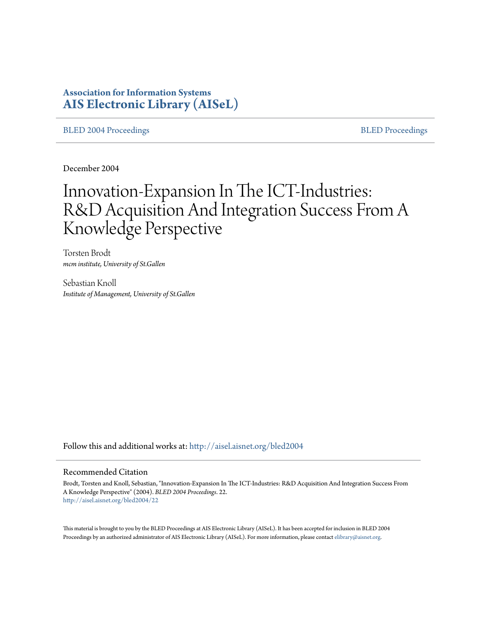# **Association for Information Systems [AIS Electronic Library \(AISeL\)](http://aisel.aisnet.org?utm_source=aisel.aisnet.org%2Fbled2004%2F22&utm_medium=PDF&utm_campaign=PDFCoverPages)**

[BLED 2004 Proceedings](http://aisel.aisnet.org/bled2004?utm_source=aisel.aisnet.org%2Fbled2004%2F22&utm_medium=PDF&utm_campaign=PDFCoverPages) and the state of the state of the [BLED Proceedings](http://aisel.aisnet.org/bled?utm_source=aisel.aisnet.org%2Fbled2004%2F22&utm_medium=PDF&utm_campaign=PDFCoverPages) and the BLED Proceedings and the BLED Proceedings and the BLED Proceedings and the BLED Proceedings and the BLED Proceedings and the BLED Proceedings

December 2004

# Innovation-Expansion In The ICT-Industries: R&D Acquisition And Integration Success From A Knowledge Perspective

Torsten Brodt *mcm institute, University of St.Gallen*

Sebastian Knoll *Institute of Management, University of St.Gallen*

Follow this and additional works at: [http://aisel.aisnet.org/bled2004](http://aisel.aisnet.org/bled2004?utm_source=aisel.aisnet.org%2Fbled2004%2F22&utm_medium=PDF&utm_campaign=PDFCoverPages)

#### Recommended Citation

Brodt, Torsten and Knoll, Sebastian, "Innovation-Expansion In The ICT-Industries: R&D Acquisition And Integration Success From A Knowledge Perspective" (2004). *BLED 2004 Proceedings*. 22. [http://aisel.aisnet.org/bled2004/22](http://aisel.aisnet.org/bled2004/22?utm_source=aisel.aisnet.org%2Fbled2004%2F22&utm_medium=PDF&utm_campaign=PDFCoverPages)

This material is brought to you by the BLED Proceedings at AIS Electronic Library (AISeL). It has been accepted for inclusion in BLED 2004 Proceedings by an authorized administrator of AIS Electronic Library (AISeL). For more information, please contact [elibrary@aisnet.org](mailto:elibrary@aisnet.org%3E).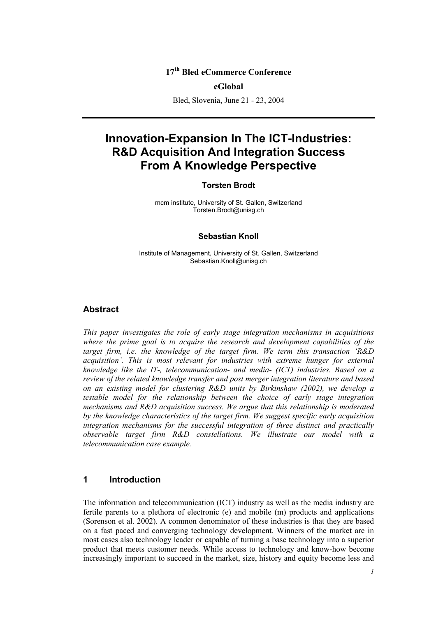# **17th Bled eCommerce Conference**

#### **eGlobal**

Bled, Slovenia, June 21 - 23, 2004

# **Innovation-Expansion In The ICT-Industries: R&D Acquisition And Integration Success From A Knowledge Perspective**

#### **Torsten Brodt**

mcm institute, University of St. Gallen, Switzerland Torsten.Brodt@unisg.ch

#### **Sebastian Knoll**

Institute of Management, University of St. Gallen, Switzerland Sebastian.Knoll@unisg.ch

#### **Abstract**

*This paper investigates the role of early stage integration mechanisms in acquisitions where the prime goal is to acquire the research and development capabilities of the target firm, i.e. the knowledge of the target firm. We term this transaction 'R&D acquisition'. This is most relevant for industries with extreme hunger for external knowledge like the IT-, telecommunication- and media- (ICT) industries. Based on a review of the related knowledge transfer and post merger integration literature and based on an existing model for clustering R&D units by Birkinshaw (2002), we develop a testable model for the relationship between the choice of early stage integration mechanisms and R&D acquisition success. We argue that this relationship is moderated by the knowledge characteristics of the target firm. We suggest specific early acquisition integration mechanisms for the successful integration of three distinct and practically observable target firm R&D constellations. We illustrate our model with a telecommunication case example.* 

#### **1 Introduction**

The information and telecommunication (ICT) industry as well as the media industry are fertile parents to a plethora of electronic (e) and mobile (m) products and applications (Sorenson et al. 2002). A common denominator of these industries is that they are based on a fast paced and converging technology development. Winners of the market are in most cases also technology leader or capable of turning a base technology into a superior product that meets customer needs. While access to technology and know-how become increasingly important to succeed in the market, size, history and equity become less and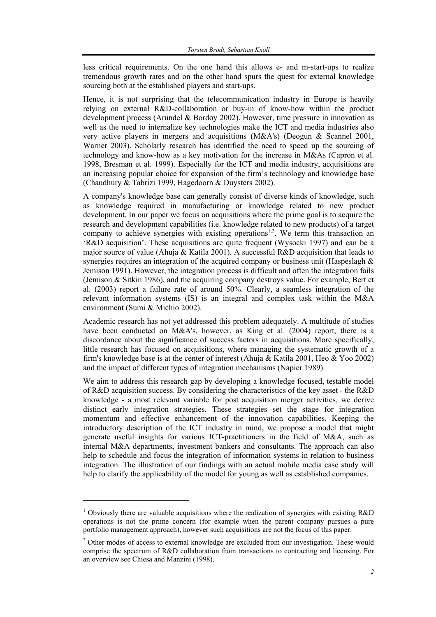less critical requirements. On the one hand this allows e- and m-start-ups to realize tremendous growth rates and on the other hand spurs the quest for external knowledge sourcing both at the established players and start-ups.

Hence, it is not surprising that the telecommunication industry in Europe is heavily relying on external R&D-collaboration or buy-in of know-how within the product development process (Arundel & Bordoy 2002). However, time pressure in innovation as well as the need to internalize key technologies make the ICT and media industries also very active players in mergers and acquisitions (M&A's) (Deogun & Scannel 2001, Warner 2003). Scholarly research has identified the need to speed up the sourcing of technology and know-how as a key motivation for the increase in M&As (Capron et al. 1998, Bresman et al. 1999). Especially for the ICT and media industry, acquisitions are an increasing popular choice for expansion of the firm's technology and knowledge base (Chaudhury & Tabrizi 1999, Hagedoorn & Duysters 2002).

A company's knowledge base can generally consist of diverse kinds of knowledge, such as knowledge required in manufacturing or knowledge related to new product development. In our paper we focus on acquisitions where the prime goal is to acquire the research and development capabilities (i.e. knowledge related to new products) of a target company to achieve synergies with existing operations<sup>1,2</sup>. We term this transaction an 'R&D acquisition'. These acquisitions are quite frequent (Wysocki 1997) and can be a major source of value (Ahuja & Katila 2001). A successful R&D acquisition that leads to synergies requires an integration of the acquired company or business unit (Haspeslagh  $\&$ Jemison 1991). However, the integration process is difficult and often the integration fails (Jemison & Sitkin 1986), and the acquiring company destroys value. For example, Bert et al. (2003) report a failure rate of around 50%. Clearly, a seamless integration of the relevant information systems (IS) is an integral and complex task within the M&A environment (Sumi & Michio 2002).

Academic research has not yet addressed this problem adequately. A multitude of studies have been conducted on M&A's, however, as King et al. (2004) report, there is a discordance about the significance of success factors in acquisitions. More specifically, little research has focused on acquisitions, where managing the systematic growth of a firm's knowledge base is at the center of interest (Ahuja & Katila 2001, Heo & Yoo 2002) and the impact of different types of integration mechanisms (Napier 1989).

We aim to address this research gap by developing a knowledge focused, testable model of R&D acquisition success. By considering the characteristics of the key asset - the R&D knowledge - a most relevant variable for post acquisition merger activities, we derive distinct early integration strategies. These strategies set the stage for integration momentum and effective enhancement of the innovation capabilities. Keeping the introductory description of the ICT industry in mind, we propose a model that might generate useful insights for various ICT-practitioners in the field of M&A, such as internal M&A departments, investment bankers and consultants. The approach can also help to schedule and focus the integration of information systems in relation to business integration. The illustration of our findings with an actual mobile media case study will help to clarify the applicability of the model for young as well as established companies.

 $\overline{\phantom{a}}$ 

<sup>&</sup>lt;sup>1</sup> Obviously there are valuable acquisitions where the realization of synergies with existing R&D operations is not the prime concern (for example when the parent company pursues a pure portfolio management approach), however such acquisitions are not the focus of this paper.

 $2$  Other modes of access to external knowledge are excluded from our investigation. These would comprise the spectrum of R&D collaboration from transactions to contracting and licensing. For an overview see Chiesa and Manzini (1998).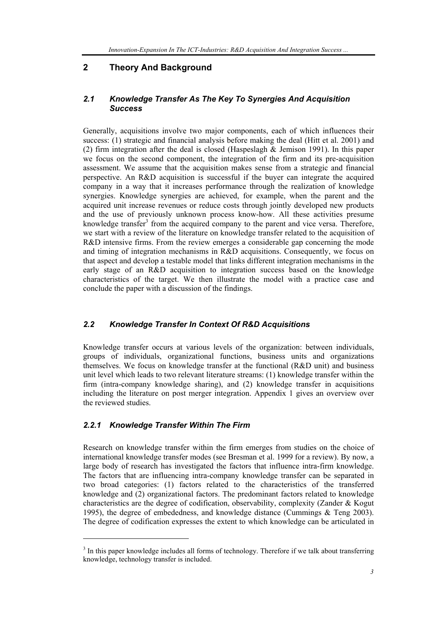# **2 Theory And Background**

#### *2.1 Knowledge Transfer As The Key To Synergies And Acquisition Success*

Generally, acquisitions involve two major components, each of which influences their success: (1) strategic and financial analysis before making the deal (Hitt et al. 2001) and (2) firm integration after the deal is closed (Haspeslagh & Jemison 1991). In this paper we focus on the second component, the integration of the firm and its pre-acquisition assessment. We assume that the acquisition makes sense from a strategic and financial perspective. An R&D acquisition is successful if the buyer can integrate the acquired company in a way that it increases performance through the realization of knowledge synergies. Knowledge synergies are achieved, for example, when the parent and the acquired unit increase revenues or reduce costs through jointly developed new products and the use of previously unknown process know-how. All these activities presume knowledge transfer<sup>3</sup> from the acquired company to the parent and vice versa. Therefore, we start with a review of the literature on knowledge transfer related to the acquisition of R&D intensive firms. From the review emerges a considerable gap concerning the mode and timing of integration mechanisms in R&D acquisitions. Consequently, we focus on that aspect and develop a testable model that links different integration mechanisms in the early stage of an R&D acquisition to integration success based on the knowledge characteristics of the target. We then illustrate the model with a practice case and conclude the paper with a discussion of the findings.

#### *2.2 Knowledge Transfer In Context Of R&D Acquisitions*

Knowledge transfer occurs at various levels of the organization: between individuals, groups of individuals, organizational functions, business units and organizations themselves. We focus on knowledge transfer at the functional (R&D unit) and business unit level which leads to two relevant literature streams: (1) knowledge transfer within the firm (intra-company knowledge sharing), and (2) knowledge transfer in acquisitions including the literature on post merger integration. Appendix 1 gives an overview over the reviewed studies.

#### *2.2.1 Knowledge Transfer Within The Firm*

l

Research on knowledge transfer within the firm emerges from studies on the choice of international knowledge transfer modes (see Bresman et al. 1999 for a review). By now, a large body of research has investigated the factors that influence intra-firm knowledge. The factors that are influencing intra-company knowledge transfer can be separated in two broad categories: (1) factors related to the characteristics of the transferred knowledge and (2) organizational factors. The predominant factors related to knowledge characteristics are the degree of codification, observability, complexity (Zander & Kogut 1995), the degree of embededness, and knowledge distance (Cummings & Teng 2003). The degree of codification expresses the extent to which knowledge can be articulated in

 $3$  In this paper knowledge includes all forms of technology. Therefore if we talk about transferring knowledge, technology transfer is included.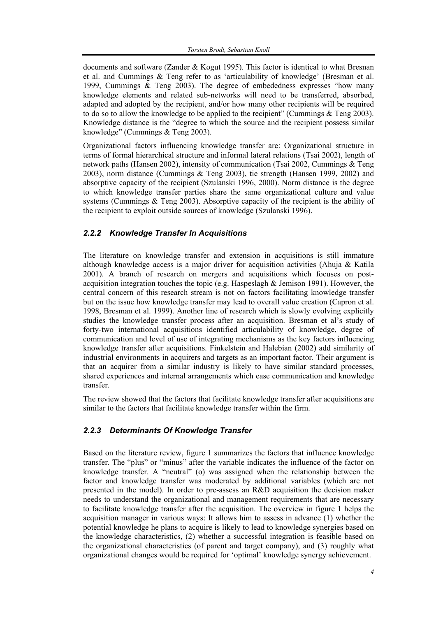documents and software (Zander & Kogut 1995). This factor is identical to what Bresnan et al. and Cummings & Teng refer to as 'articulability of knowledge' (Bresman et al. 1999, Cummings & Teng 2003). The degree of embededness expresses "how many knowledge elements and related sub-networks will need to be transferred, absorbed, adapted and adopted by the recipient, and/or how many other recipients will be required to do so to allow the knowledge to be applied to the recipient" (Cummings & Teng 2003). Knowledge distance is the "degree to which the source and the recipient possess similar knowledge" (Cummings & Teng 2003).

Organizational factors influencing knowledge transfer are: Organizational structure in terms of formal hierarchical structure and informal lateral relations (Tsai 2002), length of network paths (Hansen 2002), intensity of communication (Tsai 2002, Cummings & Teng 2003), norm distance (Cummings & Teng 2003), tie strength (Hansen 1999, 2002) and absorptive capacity of the recipient (Szulanski 1996, 2000). Norm distance is the degree to which knowledge transfer parties share the same organizational culture and value systems (Cummings & Teng 2003). Absorptive capacity of the recipient is the ability of the recipient to exploit outside sources of knowledge (Szulanski 1996).

### *2.2.2 Knowledge Transfer In Acquisitions*

The literature on knowledge transfer and extension in acquisitions is still immature although knowledge access is a major driver for acquisition activities (Ahuja  $\&$  Katila 2001). A branch of research on mergers and acquisitions which focuses on postacquisition integration touches the topic (e.g. Haspeslagh & Jemison 1991). However, the central concern of this research stream is not on factors facilitating knowledge transfer but on the issue how knowledge transfer may lead to overall value creation (Capron et al. 1998, Bresman et al. 1999). Another line of research which is slowly evolving explicitly studies the knowledge transfer process after an acquisition. Bresman et al's study of forty-two international acquisitions identified articulability of knowledge, degree of communication and level of use of integrating mechanisms as the key factors influencing knowledge transfer after acquisitions. Finkelstein and Halebian (2002) add similarity of industrial environments in acquirers and targets as an important factor. Their argument is that an acquirer from a similar industry is likely to have similar standard processes, shared experiences and internal arrangements which ease communication and knowledge transfer.

The review showed that the factors that facilitate knowledge transfer after acquisitions are similar to the factors that facilitate knowledge transfer within the firm.

# *2.2.3 Determinants Of Knowledge Transfer*

Based on the literature review, figure 1 summarizes the factors that influence knowledge transfer. The "plus" or "minus" after the variable indicates the influence of the factor on knowledge transfer. A "neutral" (o) was assigned when the relationship between the factor and knowledge transfer was moderated by additional variables (which are not presented in the model). In order to pre-assess an R&D acquisition the decision maker needs to understand the organizational and management requirements that are necessary to facilitate knowledge transfer after the acquisition. The overview in figure 1 helps the acquisition manager in various ways: It allows him to assess in advance (1) whether the potential knowledge he plans to acquire is likely to lead to knowledge synergies based on the knowledge characteristics, (2) whether a successful integration is feasible based on the organizational characteristics (of parent and target company), and (3) roughly what organizational changes would be required for 'optimal' knowledge synergy achievement.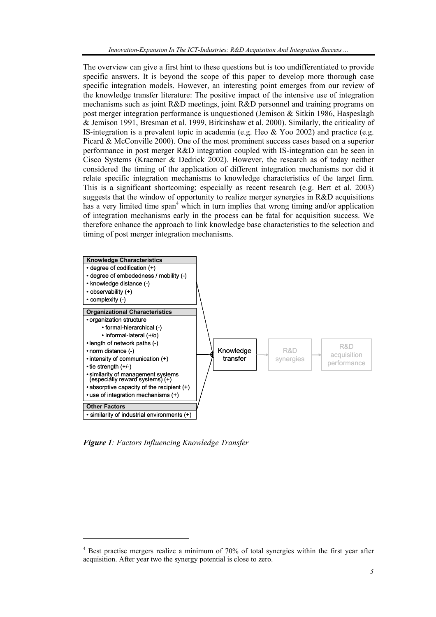The overview can give a first hint to these questions but is too undifferentiated to provide specific answers. It is beyond the scope of this paper to develop more thorough case specific integration models. However, an interesting point emerges from our review of the knowledge transfer literature: The positive impact of the intensive use of integration mechanisms such as joint R&D meetings, joint R&D personnel and training programs on post merger integration performance is unquestioned (Jemison  $\&$  Sitkin 1986, Haspeslagh & Jemison 1991, Bresman et al. 1999, Birkinshaw et al. 2000). Similarly, the criticality of IS-integration is a prevalent topic in academia (e.g. Heo & Yoo 2002) and practice (e.g. Picard & McConville 2000). One of the most prominent success cases based on a superior performance in post merger R&D integration coupled with IS-integration can be seen in Cisco Systems (Kraemer & Dedrick 2002). However, the research as of today neither considered the timing of the application of different integration mechanisms nor did it relate specific integration mechanisms to knowledge characteristics of the target firm. This is a significant shortcoming; especially as recent research (e.g. Bert et al. 2003) suggests that the window of opportunity to realize merger synergies in R&D acquisitions has a very limited time span<sup>4</sup> which in turn implies that wrong timing and/or application of integration mechanisms early in the process can be fatal for acquisition success. We therefore enhance the approach to link knowledge base characteristics to the selection and timing of post merger integration mechanisms.



*Figure 1: Factors Influencing Knowledge Transfer* 

l

<sup>&</sup>lt;sup>4</sup> Best practise mergers realize a minimum of 70% of total synergies within the first year after acquisition. After year two the synergy potential is close to zero.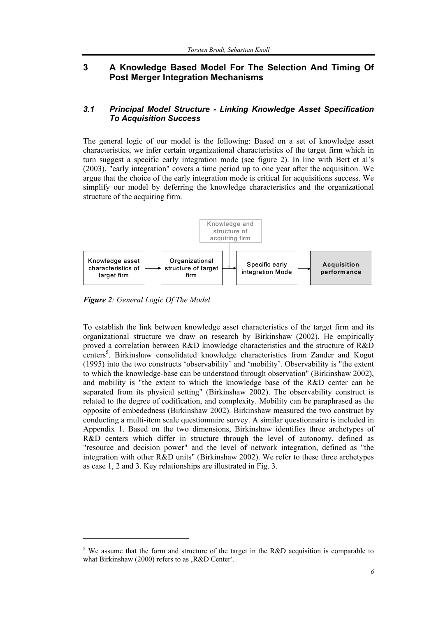## **3 A Knowledge Based Model For The Selection And Timing Of Post Merger Integration Mechanisms**

#### *3.1 Principal Model Structure - Linking Knowledge Asset Specification To Acquisition Success*

The general logic of our model is the following: Based on a set of knowledge asset characteristics, we infer certain organizational characteristics of the target firm which in turn suggest a specific early integration mode (see figure 2). In line with Bert et al's (2003), "early integration" covers a time period up to one year after the acquisition. We argue that the choice of the early integration mode is critical for acquisitions success. We simplify our model by deferring the knowledge characteristics and the organizational structure of the acquiring firm.



*Figure 2: General Logic Of The Model* 

l

To establish the link between knowledge asset characteristics of the target firm and its organizational structure we draw on research by Birkinshaw (2002). He empirically proved a correlation between R&D knowledge characteristics and the structure of R&D centers<sup>5</sup>. Birkinshaw consolidated knowledge characteristics from Zander and Kogut (1995) into the two constructs 'observability' and 'mobility'. Observability is "the extent to which the knowledge-base can be understood through observation" (Birkinshaw 2002), and mobility is "the extent to which the knowledge base of the R&D center can be separated from its physical setting" (Birkinshaw 2002). The observability construct is related to the degree of codification, and complexity. Mobility can be paraphrased as the opposite of embededness (Birkinshaw 2002). Birkinshaw measured the two construct by conducting a multi-item scale questionnaire survey. A similar questionnaire is included in Appendix 1. Based on the two dimensions, Birkinshaw identifies three archetypes of R&D centers which differ in structure through the level of autonomy, defined as "resource and decision power" and the level of network integration, defined as "the integration with other R&D units" (Birkinshaw 2002). We refer to these three archetypes as case 1, 2 and 3. Key relationships are illustrated in Fig. 3.

<sup>&</sup>lt;sup>5</sup> We assume that the form and structure of the target in the R&D acquisition is comparable to what Birkinshaw (2000) refers to as .R&D Center'.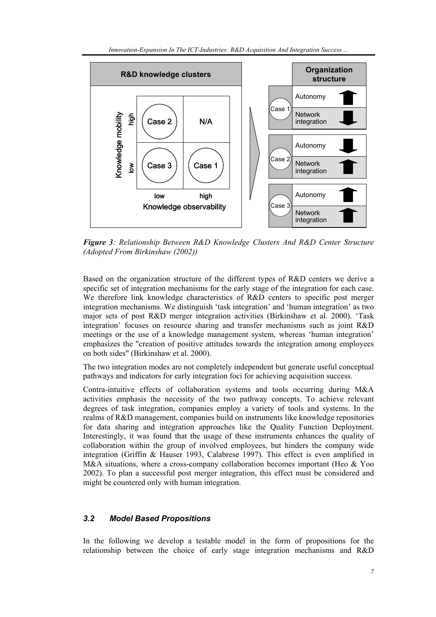

*Figure 3: Relationship Between R&D Knowledge Clusters And R&D Center Structure (Adopted From Birkinshaw (2002))* 

Based on the organization structure of the different types of R&D centers we derive a specific set of integration mechanisms for the early stage of the integration for each case. We therefore link knowledge characteristics of R&D centers to specific post merger integration mechanisms. We distinguish 'task integration' and 'human integration' as two major sets of post R&D merger integration activities (Birkinshaw et al. 2000). 'Task integration' focuses on resource sharing and transfer mechanisms such as joint R&D meetings or the use of a knowledge management system, whereas 'human integration' emphasizes the "creation of positive attitudes towards the integration among employees on both sides" (Birkinshaw et al. 2000).

The two integration modes are not completely independent but generate useful conceptual pathways and indicators for early integration foci for achieving acquisition success.

Contra-intuitive effects of collaboration systems and tools occurring during M&A activities emphasis the necessity of the two pathway concepts. To achieve relevant degrees of task integration, companies employ a variety of tools and systems. In the realms of R&D management, companies build on instruments like knowledge repositories for data sharing and integration approaches like the Quality Function Deployment. Interestingly, it was found that the usage of these instruments enhances the quality of collaboration within the group of involved employees, but hinders the company wide integration (Griffin & Hauser 1993, Calabrese 1997). This effect is even amplified in M&A situations, where a cross-company collaboration becomes important (Heo & Yoo 2002). To plan a successful post merger integration, this effect must be considered and might be countered only with human integration.

#### *3.2 Model Based Propositions*

In the following we develop a testable model in the form of propositions for the relationship between the choice of early stage integration mechanisms and R&D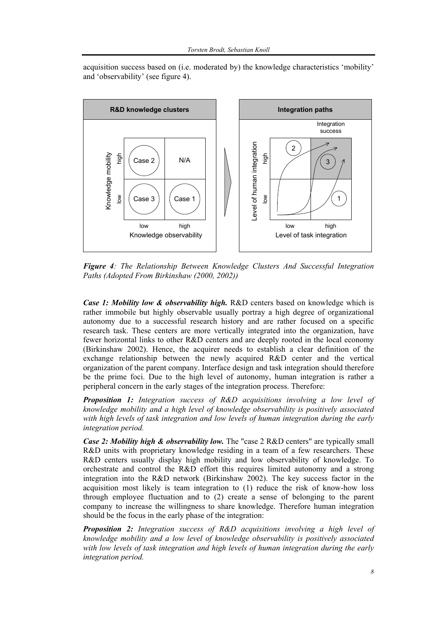acquisition success based on (i.e. moderated by) the knowledge characteristics 'mobility' and 'observability' (see figure 4).



*Figure 4: The Relationship Between Knowledge Clusters And Successful Integration Paths (Adopted From Birkinshaw (2000, 2002))* 

*Case 1: Mobility low & observability high.* R&D centers based on knowledge which is rather immobile but highly observable usually portray a high degree of organizational autonomy due to a successful research history and are rather focused on a specific research task. These centers are more vertically integrated into the organization, have fewer horizontal links to other R&D centers and are deeply rooted in the local economy (Birkinshaw 2002). Hence, the acquirer needs to establish a clear definition of the exchange relationship between the newly acquired R&D center and the vertical organization of the parent company. Interface design and task integration should therefore be the prime foci. Due to the high level of autonomy, human integration is rather a peripheral concern in the early stages of the integration process. Therefore:

*Proposition 1: Integration success of R&D acquisitions involving a low level of knowledge mobility and a high level of knowledge observability is positively associated with high levels of task integration and low levels of human integration during the early integration period.* 

*Case 2: Mobility high & observability low.* The "case 2 R&D centers" are typically small R&D units with proprietary knowledge residing in a team of a few researchers. These R&D centers usually display high mobility and low observability of knowledge. To orchestrate and control the R&D effort this requires limited autonomy and a strong integration into the R&D network (Birkinshaw 2002). The key success factor in the acquisition most likely is team integration to (1) reduce the risk of know-how loss through employee fluctuation and to (2) create a sense of belonging to the parent company to increase the willingness to share knowledge. Therefore human integration should be the focus in the early phase of the integration:

*Proposition 2: Integration success of R&D acquisitions involving a high level of knowledge mobility and a low level of knowledge observability is positively associated with low levels of task integration and high levels of human integration during the early integration period.*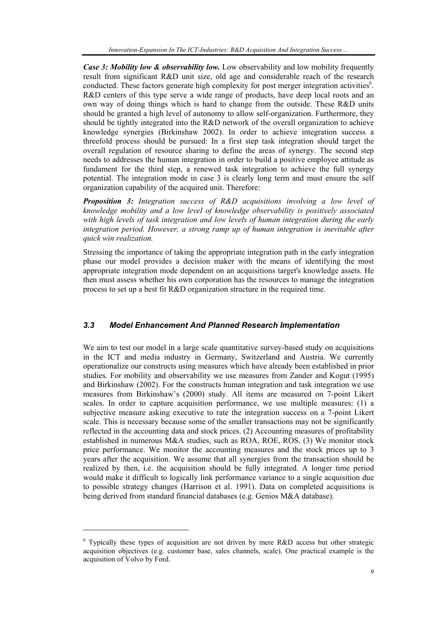*Case 3: Mobility low & observability low.* Low observability and low mobility frequently result from significant R&D unit size, old age and considerable reach of the research conducted. These factors generate high complexity for post merger integration activities<sup>6</sup>. R&D centers of this type serve a wide range of products, have deep local roots and an own way of doing things which is hard to change from the outside. These R&D units should be granted a high level of autonomy to allow self-organization. Furthermore, they should be tightly integrated into the R&D network of the overall organization to achieve knowledge synergies (Birkinshaw 2002). In order to achieve integration success a threefold process should be pursued: In a first step task integration should target the overall regulation of resource sharing to define the areas of synergy. The second step needs to addresses the human integration in order to build a positive employee attitude as fundament for the third step, a renewed task integration to achieve the full synergy potential. The integration mode in case 3 is clearly long term and must ensure the self organization capability of the acquired unit. Therefore:

*Proposition 3: Integration success of R&D acquisitions involving a low level of knowledge mobility and a low level of knowledge observability is positively associated with high levels of task integration and low levels of human integration during the early integration period. However, a strong ramp up of human integration is inevitable after quick win realization.* 

Stressing the importance of taking the appropriate integration path in the early integration phase our model provides a decision maker with the means of identifying the most appropriate integration mode dependent on an acquisitions target's knowledge assets. He then must assess whether his own corporation has the resources to manage the integration process to set up a best fit R&D organization structure in the required time.

#### *3.3 Model Enhancement And Planned Research Implementation*

We aim to test our model in a large scale quantitative survey-based study on acquisitions in the ICT and media industry in Germany, Switzerland and Austria. We currently operationalize our constructs using measures which have already been established in prior studies. For mobility and observability we use measures from Zander and Kogut (1995) and Birkinshaw (2002). For the constructs human integration and task integration we use measures from Birkinshaw's (2000) study. All items are measured on 7-point Likert scales. In order to capture acquisition performance, we use multiple measures: (1) a subjective measure asking executive to rate the integration success on a 7-point Likert scale. This is necessary because some of the smaller transactions may not be significantly reflected in the accounting data and stock prices. (2) Accounting measures of profitability established in numerous M&A studies, such as ROA, ROE, ROS. (3) We monitor stock price performance. We monitor the accounting measures and the stock prices up to 3 years after the acquisition. We assume that all synergies from the transaction should be realized by then, i.e. the acquisition should be fully integrated. A longer time period would make it difficult to logically link performance variance to a single acquisition due to possible strategy changes (Harrison et al. 1991). Data on completed acquisitions is being derived from standard financial databases (e.g. Genios M&A database).

 $\overline{\phantom{a}}$ 

 $6$  Typically these types of acquisition are not driven by mere R&D access but other strategic acquisition objectives (e.g. customer base, sales channels, scale). One practical example is the acquisition of Volvo by Ford.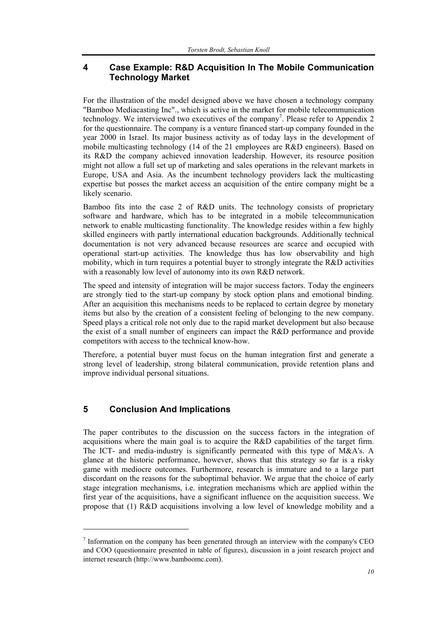## **4 Case Example: R&D Acquisition In The Mobile Communication Technology Market**

For the illustration of the model designed above we have chosen a technology company "Bamboo Mediacasting Inc"., which is active in the market for mobile telecommunication technology. We interviewed two executives of the company<sup>7</sup>. Please refer to Appendix 2 for the questionnaire. The company is a venture financed start-up company founded in the year 2000 in Israel. Its major business activity as of today lays in the development of mobile multicasting technology (14 of the 21 employees are R&D engineers). Based on its R&D the company achieved innovation leadership. However, its resource position might not allow a full set up of marketing and sales operations in the relevant markets in Europe, USA and Asia. As the incumbent technology providers lack the multicasting expertise but posses the market access an acquisition of the entire company might be a likely scenario.

Bamboo fits into the case 2 of R&D units. The technology consists of proprietary software and hardware, which has to be integrated in a mobile telecommunication network to enable multicasting functionality. The knowledge resides within a few highly skilled engineers with partly international education backgrounds. Additionally technical documentation is not very advanced because resources are scarce and occupied with operational start-up activities. The knowledge thus has low observability and high mobility, which in turn requires a potential buyer to strongly integrate the R&D activities with a reasonably low level of autonomy into its own R&D network.

The speed and intensity of integration will be major success factors. Today the engineers are strongly tied to the start-up company by stock option plans and emotional binding. After an acquisition this mechanisms needs to be replaced to certain degree by monetary items but also by the creation of a consistent feeling of belonging to the new company. Speed plays a critical role not only due to the rapid market development but also because the exist of a small number of engineers can impact the R&D performance and provide competitors with access to the technical know-how.

Therefore, a potential buyer must focus on the human integration first and generate a strong level of leadership, strong bilateral communication, provide retention plans and improve individual personal situations.

# **5 Conclusion And Implications**

 $\overline{\phantom{a}}$ 

The paper contributes to the discussion on the success factors in the integration of acquisitions where the main goal is to acquire the R&D capabilities of the target firm. The ICT- and media-industry is significantly permeated with this type of M&A's. A glance at the historic performance, however, shows that this strategy so far is a risky game with mediocre outcomes. Furthermore, research is immature and to a large part discordant on the reasons for the suboptimal behavior. We argue that the choice of early stage integration mechanisms, i.e. integration mechanisms which are applied within the first year of the acquisitions, have a significant influence on the acquisition success. We propose that (1) R&D acquisitions involving a low level of knowledge mobility and a

 $<sup>7</sup>$  Information on the company has been generated through an interview with the company's CEO</sup> and COO (questionnaire presented in table of figures), discussion in a joint research project and internet research (http://www.bamboomc.com).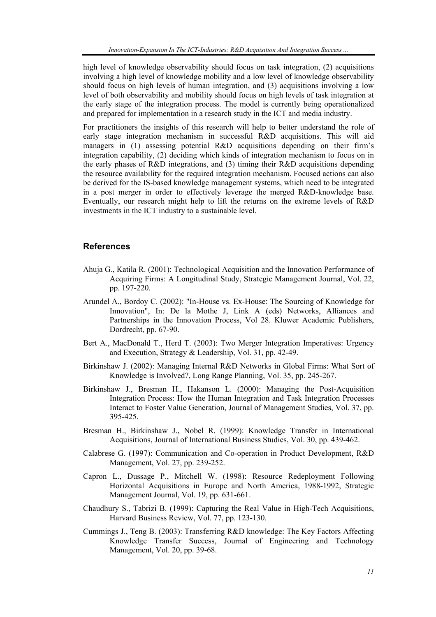high level of knowledge observability should focus on task integration, (2) acquisitions involving a high level of knowledge mobility and a low level of knowledge observability should focus on high levels of human integration, and (3) acquisitions involving a low level of both observability and mobility should focus on high levels of task integration at the early stage of the integration process. The model is currently being operationalized and prepared for implementation in a research study in the ICT and media industry.

For practitioners the insights of this research will help to better understand the role of early stage integration mechanism in successful R&D acquisitions. This will aid managers in (1) assessing potential R&D acquisitions depending on their firm's integration capability, (2) deciding which kinds of integration mechanism to focus on in the early phases of R&D integrations, and (3) timing their R&D acquisitions depending the resource availability for the required integration mechanism. Focused actions can also be derived for the IS-based knowledge management systems, which need to be integrated in a post merger in order to effectively leverage the merged R&D-knowledge base. Eventually, our research might help to lift the returns on the extreme levels of R&D investments in the ICT industry to a sustainable level.

#### **References**

- Ahuja G., Katila R. (2001): Technological Acquisition and the Innovation Performance of Acquiring Firms: A Longitudinal Study, Strategic Management Journal, Vol. 22, pp. 197-220.
- Arundel A., Bordoy C. (2002): "In-House vs. Ex-House: The Sourcing of Knowledge for Innovation", In: De la Mothe J, Link A (eds) Networks, Alliances and Partnerships in the Innovation Process, Vol 28. Kluwer Academic Publishers, Dordrecht, pp. 67-90.
- Bert A., MacDonald T., Herd T. (2003): Two Merger Integration Imperatives: Urgency and Execution, Strategy & Leadership, Vol. 31, pp. 42-49.
- Birkinshaw J. (2002): Managing Internal R&D Networks in Global Firms: What Sort of Knowledge is Involved?, Long Range Planning, Vol. 35, pp. 245-267.
- Birkinshaw J., Bresman H., Hakanson L. (2000): Managing the Post-Acquisition Integration Process: How the Human Integration and Task Integration Processes Interact to Foster Value Generation, Journal of Management Studies, Vol. 37, pp. 395-425.
- Bresman H., Birkinshaw J., Nobel R. (1999): Knowledge Transfer in International Acquisitions, Journal of International Business Studies, Vol. 30, pp. 439-462.
- Calabrese G. (1997): Communication and Co-operation in Product Development, R&D Management, Vol. 27, pp. 239-252.
- Capron L., Dussage P., Mitchell W. (1998): Resource Redeployment Following Horizontal Acquisitions in Europe and North America, 1988-1992, Strategic Management Journal, Vol. 19, pp. 631-661.
- Chaudhury S., Tabrizi B. (1999): Capturing the Real Value in High-Tech Acquisitions, Harvard Business Review, Vol. 77, pp. 123-130.
- Cummings J., Teng B. (2003): Transferring R&D knowledge: The Key Factors Affecting Knowledge Transfer Success, Journal of Engineering and Technology Management, Vol. 20, pp. 39-68.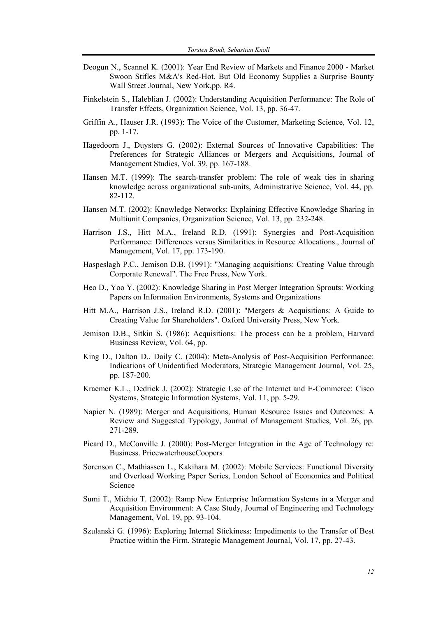- Deogun N., Scannel K. (2001): Year End Review of Markets and Finance 2000 Market Swoon Stifles M&A's Red-Hot, But Old Economy Supplies a Surprise Bounty Wall Street Journal, New York,pp. R4.
- Finkelstein S., Haleblian J. (2002): Understanding Acquisition Performance: The Role of Transfer Effects, Organization Science, Vol. 13, pp. 36-47.
- Griffin A., Hauser J.R. (1993): The Voice of the Customer, Marketing Science, Vol. 12, pp. 1-17.
- Hagedoorn J., Duysters G. (2002): External Sources of Innovative Capabilities: The Preferences for Strategic Alliances or Mergers and Acquisitions, Journal of Management Studies, Vol. 39, pp. 167-188.
- Hansen M.T. (1999): The search-transfer problem: The role of weak ties in sharing knowledge across organizational sub-units, Administrative Science, Vol. 44, pp. 82-112.
- Hansen M.T. (2002): Knowledge Networks: Explaining Effective Knowledge Sharing in Multiunit Companies, Organization Science, Vol. 13, pp. 232-248.
- Harrison J.S., Hitt M.A., Ireland R.D. (1991): Synergies and Post-Acquisition Performance: Differences versus Similarities in Resource Allocations., Journal of Management, Vol. 17, pp. 173-190.
- Haspeslagh P.C., Jemison D.B. (1991): "Managing acquisitions: Creating Value through Corporate Renewal". The Free Press, New York.
- Heo D., Yoo Y. (2002): Knowledge Sharing in Post Merger Integration Sprouts: Working Papers on Information Environments, Systems and Organizations
- Hitt M.A., Harrison J.S., Ireland R.D. (2001): "Mergers & Acquisitions: A Guide to Creating Value for Shareholders". Oxford University Press, New York.
- Jemison D.B., Sitkin S. (1986): Acquisitions: The process can be a problem, Harvard Business Review, Vol. 64, pp.
- King D., Dalton D., Daily C. (2004): Meta-Analysis of Post-Acquisition Performance: Indications of Unidentified Moderators, Strategic Management Journal, Vol. 25, pp. 187-200.
- Kraemer K.L., Dedrick J. (2002): Strategic Use of the Internet and E-Commerce: Cisco Systems, Strategic Information Systems, Vol. 11, pp. 5-29.
- Napier N. (1989): Merger and Acquisitions, Human Resource Issues and Outcomes: A Review and Suggested Typology, Journal of Management Studies, Vol. 26, pp. 271-289.
- Picard D., McConville J. (2000): Post-Merger Integration in the Age of Technology re: Business. PricewaterhouseCoopers
- Sorenson C., Mathiassen L., Kakihara M. (2002): Mobile Services: Functional Diversity and Overload Working Paper Series, London School of Economics and Political Science
- Sumi T., Michio T. (2002): Ramp New Enterprise Information Systems in a Merger and Acquisition Environment: A Case Study, Journal of Engineering and Technology Management, Vol. 19, pp. 93-104.
- Szulanski G. (1996): Exploring Internal Stickiness: Impediments to the Transfer of Best Practice within the Firm, Strategic Management Journal, Vol. 17, pp. 27-43.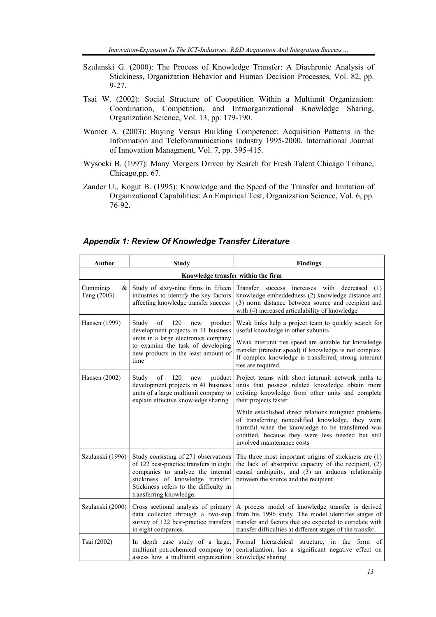- Szulanski G. (2000): The Process of Knowledge Transfer: A Diachronic Analysis of Stickiness, Organization Behavior and Human Decision Processes, Vol. 82, pp. 9-27.
- Tsai W. (2002): Social Structure of Coopetition Within a Multiunit Organization: Coordination, Competition, and Intraorganizational Knowledge Sharing, Organization Science, Vol. 13, pp. 179-190.
- Warner A. (2003): Buying Versus Building Competence: Acquisition Patterns in the Information and Telefommunications Industry 1995-2000, International Journal of Innovation Managment, Vol. 7, pp. 395-415.
- Wysocki B. (1997): Many Mergers Driven by Search for Fresh Talent Chicago Tribune, Chicago,pp. 67.
- Zander U., Kogut B. (1995): Knowledge and the Speed of the Transfer and Imitation of Organizational Capabilities: An Empirical Test, Organization Science, Vol. 6, pp. 76-92.

| Author                             | Study                                                                                                                                                                                                                          | <b>Findings</b>                                                                                                                                                                                                                                                                             |  |  |  |  |  |
|------------------------------------|--------------------------------------------------------------------------------------------------------------------------------------------------------------------------------------------------------------------------------|---------------------------------------------------------------------------------------------------------------------------------------------------------------------------------------------------------------------------------------------------------------------------------------------|--|--|--|--|--|
| Knowledge transfer within the firm |                                                                                                                                                                                                                                |                                                                                                                                                                                                                                                                                             |  |  |  |  |  |
| Cummings<br>&<br>Teng (2003)       | Study of sixty-nine firms in fifteen<br>industries to identify the key factors<br>affecting knowledge transfer success                                                                                                         | with<br>Transfer success<br>increases<br>decreased<br>(1)<br>knowledge embeddedness (2) knowledge distance and<br>(3) norm distance between source and recipient and<br>with (4) increased articulability of knowledge                                                                      |  |  |  |  |  |
| Hansen (1999)                      | Study<br>of<br>120<br>product<br>new<br>development projects in 41 business<br>units in a large electronics company<br>to examine the task of developing<br>new products in the least amount of<br>time                        | Weak links help a project team to quickly search for<br>useful knowledge in other subunits<br>Weak interunit ties speed are suitable for knowledge<br>transfer (transfer speed) if knowledge is not complex.<br>If complex knowledge is transferred, strong interunit<br>ties are required. |  |  |  |  |  |
| Hansen (2002)                      | Study<br>of<br>120<br>product<br>new<br>development projects in 41 business<br>units of a large multiunit company to<br>explain effective knowledge sharing                                                                    | Project teams with short interunit network paths to<br>units that possess related knowledge obtain more<br>existing knowledge from other units and complete<br>their projects faster                                                                                                        |  |  |  |  |  |
|                                    |                                                                                                                                                                                                                                | While established direct relations mitigated problems<br>of transferring noncodified knowledge, they were<br>harmful when the knowledge to be transferred was<br>codified, because they were less needed but still<br>involved maintenance costs                                            |  |  |  |  |  |
| Szulanski (1996)                   | Study consisting of 271 observations<br>of 122 best-practice transfers in eight<br>companies to analyze the internal<br>stickiness of knowledge transfer.<br>Stickiness refers to the difficulty in<br>transferring knowledge. | The three most important origins of stickiness are (1)<br>the lack of absorptive capacity of the recipient, (2)<br>causal ambiguity, and (3) an arduous relationship<br>between the source and the recipient.                                                                               |  |  |  |  |  |
| Szulanski (2000)                   | Cross sectional analysis of primary<br>data collected through a two-step<br>survey of 122 best-practice transfers<br>in eight companies.                                                                                       | A process model of knowledge transfer is derived<br>from his 1996 study. The model identifies stages of<br>transfer and factors that are expected to correlate with<br>transfer difficulties at different stages of the transfer.                                                           |  |  |  |  |  |
| Tsai (2002)                        | In depth case study of a large,<br>multiunit petrochemical company to<br>assess how a multiunit organization                                                                                                                   | Formal<br>hierarchical<br>structure,<br>in the form<br>of<br>centralization, has a significant negative effect on<br>knowledge sharing                                                                                                                                                      |  |  |  |  |  |

#### *Appendix 1: Review Of Knowledge Transfer Literature*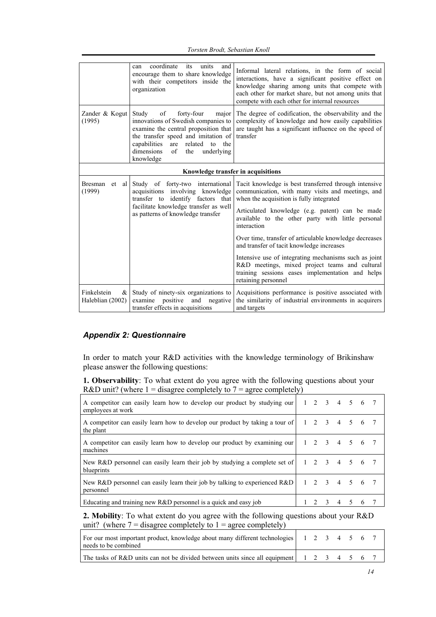|                                           | coordinate<br>its<br>units<br>and<br>can<br>encourage them to share knowledge<br>with their competitors inside the<br>organization                                                                                                                                    | Informal lateral relations, in the form of social<br>interactions, have a significant positive effect on<br>knowledge sharing among units that compete with<br>each other for market share, but not among units that<br>compete with each other for internal resources                                                                                                                                                                                                                                                                                                     |  |  |  |  |  |  |
|-------------------------------------------|-----------------------------------------------------------------------------------------------------------------------------------------------------------------------------------------------------------------------------------------------------------------------|----------------------------------------------------------------------------------------------------------------------------------------------------------------------------------------------------------------------------------------------------------------------------------------------------------------------------------------------------------------------------------------------------------------------------------------------------------------------------------------------------------------------------------------------------------------------------|--|--|--|--|--|--|
| Zander & Kogut<br>(1995)                  | of<br>forty-four<br>Study<br>major<br>innovations of Swedish companies to<br>examine the central proposition that<br>the transfer speed and imitation of<br>capabilities<br>are related<br>$\mathsf{to}$<br>the<br>dimensions<br>of<br>the<br>underlying<br>knowledge | The degree of codification, the observability and the<br>complexity of knowledge and how easily capabilities<br>are taught has a significant influence on the speed of<br>transfer                                                                                                                                                                                                                                                                                                                                                                                         |  |  |  |  |  |  |
| Knowledge transfer in acquisitions        |                                                                                                                                                                                                                                                                       |                                                                                                                                                                                                                                                                                                                                                                                                                                                                                                                                                                            |  |  |  |  |  |  |
| <b>Bresman</b><br>et al<br>(1999)         | Study of forty-two international<br>acquisitions involving knowledge<br>transfer to identify factors that<br>facilitate knowledge transfer as well<br>as patterns of knowledge transfer                                                                               | Tacit knowledge is best transferred through intensive<br>communication, with many visits and meetings, and<br>when the acquisition is fully integrated<br>Articulated knowledge (e.g. patent) can be made<br>available to the other party with little personal<br>interaction<br>Over time, transfer of articulable knowledge decreases<br>and transfer of tacit knowledge increases<br>Intensive use of integrating mechanisms such as joint<br>R&D meetings, mixed project teams and cultural<br>training sessions eases implementation and helps<br>retaining personnel |  |  |  |  |  |  |
| Finkelstein<br>$\&$ 1<br>Haleblian (2002) | Study of ninety-six organizations to<br>examine positive<br>and<br>negative<br>transfer effects in acquisitions                                                                                                                                                       | Acquisitions performance is positive associated with<br>the similarity of industrial environments in acquirers<br>and targets                                                                                                                                                                                                                                                                                                                                                                                                                                              |  |  |  |  |  |  |

### *Appendix 2: Questionnaire*

In order to match your R&D activities with the knowledge terminology of Brikinshaw please answer the following questions:

**1. Observability**: To what extent do you agree with the following questions about your R&D unit? (where  $1 =$  disagree completely to  $7 =$  agree completely)

| A competitor can easily learn how to develop our product by studying our $\begin{vmatrix} 1 & 2 & 3 & 4 & 5 & 6 \end{vmatrix}$<br>employees at work |               |  |   |         |   |  |
|-----------------------------------------------------------------------------------------------------------------------------------------------------|---------------|--|---|---------|---|--|
| A competitor can easily learn how to develop our product by taking a tour of $\begin{vmatrix} 1 & 2 & 3 \end{vmatrix}$<br>the plant                 |               |  |   | 4 5 6 7 |   |  |
| A competitor can easily learn how to develop our product by examining our   1 2 3 4 5 6 7<br>machines                                               |               |  |   |         |   |  |
| New R&D personnel can easily learn their job by studying a complete set of<br>blueprints                                                            | 1 2 3 4 5 6 7 |  |   |         |   |  |
| New R&D personnel can easily learn their job by talking to experienced R&D $\begin{array}{cccc} 1 & 2 & 3 & 4 & 5 & 6 & 7 \end{array}$<br>personnel |               |  |   |         |   |  |
| Educating and training new $R&D$ personnel is a quick and easy job                                                                                  |               |  | 4 |         | 6 |  |

**2. Mobility**: To what extent do you agree with the following questions about your R&D unit? (where  $7 =$  disagree completely to  $1 =$  agree completely)

| For our most important product, knowledge about many different technologies 1 2 3 4 5 6 7<br>needs to be combined |  |  |  |  |
|-------------------------------------------------------------------------------------------------------------------|--|--|--|--|
| The tasks of R&D units can not be divided between units since all equipment   1 2 3 4 5 6 7                       |  |  |  |  |